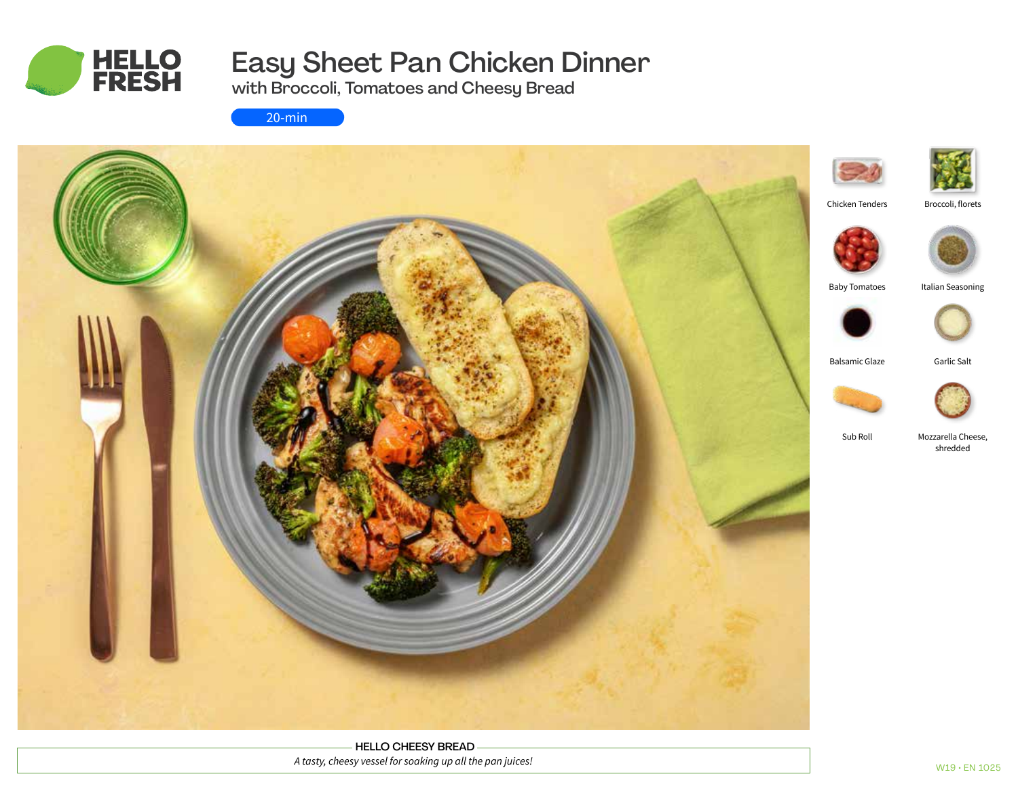

# Easy Sheet Pan Chicken Dinner

with Broccoli, Tomatoes and Cheesy Bread

20-min



HELLO CHEESY BREAD *A tasty, cheesy vessel for soaking up all the pan juices!*